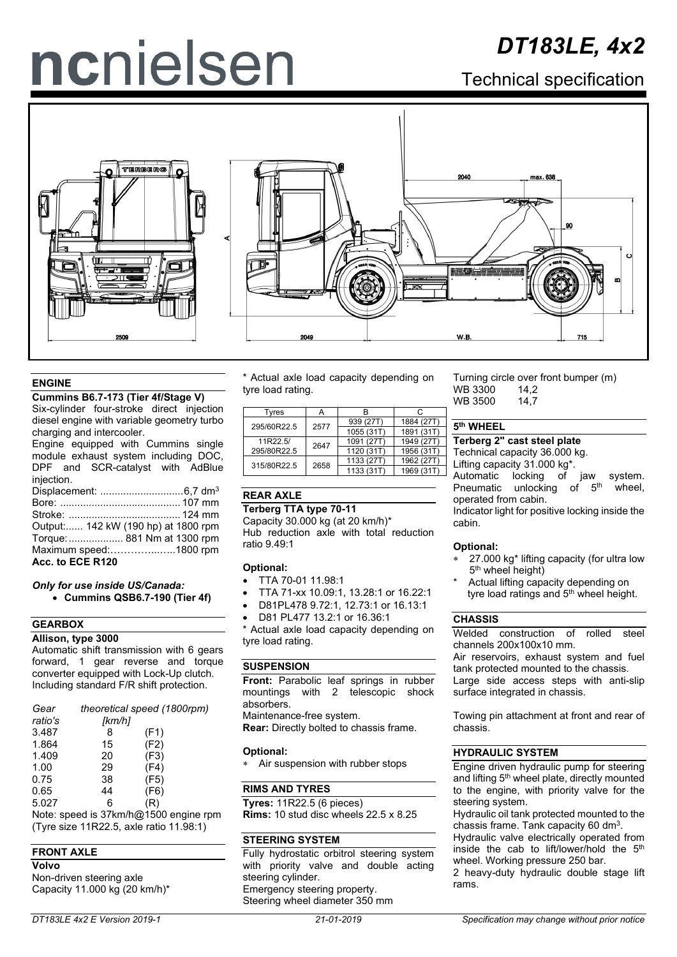# ncnielsen

## *DT183LE, 4x2*

Technical specification





#### **ENGINE**

#### **Cummins B6.7-173 (Tier 4f/Stage V)**

Six-cylinder four-stroke direct injection diesel engine with variable geometry turbo charging and intercooler.

Engine equipped with Cummins sinale module exhaust system including DOC, DPF and SCR-catalyst with AdBlue injection. Displacement: .............................6,7 dm3 Bore: .......................................... 107 mm Stroke: ....................................... 124 mm

Output:...... 142 kW (190 hp) at 1800 rpm Torque:................... 881 Nm at 1300 rpm Maximum speed:…………...…..1800 rpm **Acc. to ECE R120**

#### *Only for use inside US/Canada:* • **Cummins QSB6.7-190 (Tier 4f)**

#### **GEARBOX**

#### **Allison, type 3000**

Automatic shift transmission with 6 gears forward, 1 gear reverse and torque converter equipped with Lock-Up clutch. Including standard F/R shift protection.

| Gear                                        | theoretical speed (1800rpm) |      |  |  |  |  |
|---------------------------------------------|-----------------------------|------|--|--|--|--|
| ratio's                                     | [km/h]                      |      |  |  |  |  |
| 3.487                                       | 8                           | (F1) |  |  |  |  |
| 1.864                                       | 15                          | (F2) |  |  |  |  |
| 1.409                                       | 20                          | (F3) |  |  |  |  |
| 1.00                                        | 29                          | (F4) |  |  |  |  |
| 0.75                                        | 38                          | (F5) |  |  |  |  |
| 0.65                                        | 44                          | (F6) |  |  |  |  |
| 5.027                                       | 6                           | (R)  |  |  |  |  |
| $L \cap A$ $\cap \cap$<br><b>Al</b> - 4 - - |                             |      |  |  |  |  |

Note: speed is 37km/h@1500 engine rpm (Tyre size 11R22.5, axle ratio 11.98:1)

#### **FRONT AXLE**

**Volvo** Non-driven steering axle Capacity 11.000 kg (20 km/h)\* \* Actual axle load capacity depending on tyre load rating.

| Tvres       |      |            | C          |
|-------------|------|------------|------------|
| 295/60R22.5 | 2577 | 939 (27T)  | 1884 (27T) |
|             |      | 1055 (31T) | 1891 (31T) |
| 11R22.5/    | 2647 | 1091 (27T) | 1949 (27T) |
| 295/80R22.5 |      | 1120 (31T) | 1956 (31T) |
| 315/80R22.5 | 2658 | 1133 (27T) | 1962 (27T) |
|             |      | 1133 (31T) | 1969 (31T) |

#### **REAR AXLE**

#### **Terberg TTA type 70-11**

Capacity 30.000 kg (at 20 km/h)\* Hub reduction axle with total reduction ratio 9.49:1

#### **Optional:**

- TTA 70-01 11.98:1
- TTA 71-xx 10.09:1, 13.28:1 or 16.22:1
- D81PL478 9.72:1, 12.73:1 or 16.13:1
- D81 PL477 13.2:1 or 16.36:1

\* Actual axle load capacity depending on tyre load rating.

#### **SUSPENSION**

**Front:** Parabolic leaf springs in rubber mountings with 2 telescopic shock absorbers. Maintenance-free system.

**Rear:** Directly bolted to chassis frame.

#### **Optional:**

∗ Air suspension with rubber stops

#### **RIMS AND TYRES**

**Tyres:** 11R22.5 (6 pieces) **Rims:** 10 stud disc wheels 22.5 x 8.25

#### **STEERING SYSTEM**

Fully hydrostatic orbitrol steering system with priority valve and double acting steering cylinder. Emergency steering property. Steering wheel diameter 350 mm

Turning circle over front bumper (m)<br>WB 3300 14.2 WB 3300 14,2<br>WB 3500 14.7 WB 3500

#### **5th WHEEL**

**Terberg 2" cast steel plate**

Technical capacity 36.000 kg.

Lifting capacity 31.000 kg\*. Automatic locking of jaw system.<br>Pneumatic unlocking of 5<sup>th</sup> wheel. Pneumatic unlocking operated from cabin.

Indicator light for positive locking inside the cabin.

#### **Optional:**

- 27.000 kg<sup>\*</sup> lifting capacity (for ultra low 5<sup>th</sup> wheel height)
- Actual lifting capacity depending on tyre load ratings and 5<sup>th</sup> wheel height.

#### **CHASSIS**

Welded construction of rolled steel channels 200x100x10 mm.

Air reservoirs, exhaust system and fuel tank protected mounted to the chassis. Large side access steps with anti-slip surface integrated in chassis.

Towing pin attachment at front and rear of chassis.

#### **HYDRAULIC SYSTEM**

Engine driven hydraulic pump for steering and lifting 5<sup>th</sup> wheel plate, directly mounted to the engine, with priority valve for the steering system.

Hydraulic oil tank protected mounted to the chassis frame. Tank capacity 60 dm<sup>3</sup>.

Hydraulic valve electrically operated from inside the cab to lift/lower/hold the 5<sup>th</sup> wheel. Working pressure 250 bar.

2 heavy-duty hydraulic double stage lift rams.